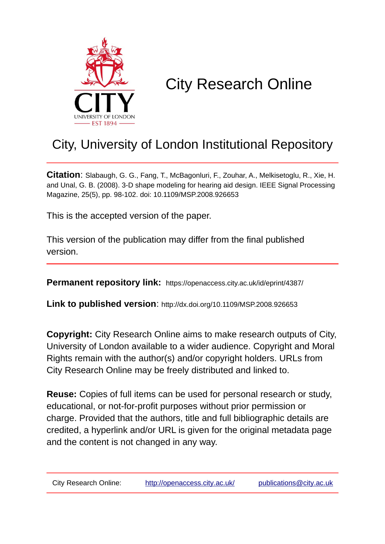

# City Research Online

# City, University of London Institutional Repository

**Citation**: Slabaugh, G. G., Fang, T., McBagonluri, F., Zouhar, A., Melkisetoglu, R., Xie, H. and Unal, G. B. (2008). 3-D shape modeling for hearing aid design. IEEE Signal Processing Magazine, 25(5), pp. 98-102. doi: 10.1109/MSP.2008.926653

This is the accepted version of the paper.

This version of the publication may differ from the final published version.

**Permanent repository link:** https://openaccess.city.ac.uk/id/eprint/4387/

**Link to published version**: http://dx.doi.org/10.1109/MSP.2008.926653

**Copyright:** City Research Online aims to make research outputs of City, University of London available to a wider audience. Copyright and Moral Rights remain with the author(s) and/or copyright holders. URLs from City Research Online may be freely distributed and linked to.

**Reuse:** Copies of full items can be used for personal research or study, educational, or not-for-profit purposes without prior permission or charge. Provided that the authors, title and full bibliographic details are credited, a hyperlink and/or URL is given for the original metadata page and the content is not changed in any way.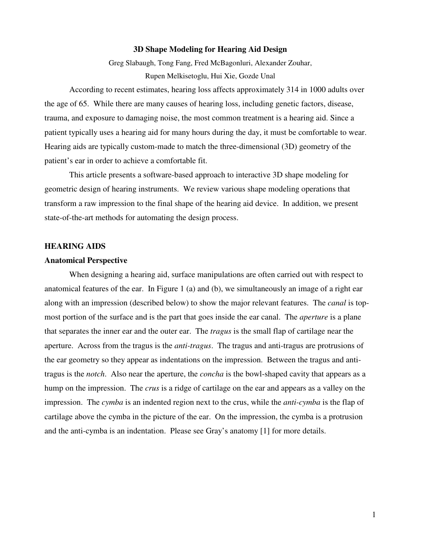### **3D Shape Modeling for Hearing Aid Design**

Greg Slabaugh, Tong Fang, Fred McBagonluri, Alexander Zouhar, Rupen Melkisetoglu, Hui Xie, Gozde Unal

According to recent estimates, hearing loss affects approximately 314 in 1000 adults over the age of 65. While there are many causes of hearing loss, including genetic factors, disease, trauma, and exposure to damaging noise, the most common treatment is a hearing aid. Since a patient typically uses a hearing aid for many hours during the day, it must be comfortable to wear. Hearing aids are typically custom-made to match the three-dimensional (3D) geometry of the patient's ear in order to achieve a comfortable fit.

This article presents a software-based approach to interactive 3D shape modeling for geometric design of hearing instruments. We review various shape modeling operations that transform a raw impression to the final shape of the hearing aid device. In addition, we present state-of-the-art methods for automating the design process.

#### **HEARING AIDS**

#### **Anatomical Perspective**

When designing a hearing aid, surface manipulations are often carried out with respect to anatomical features of the ear. In Figure 1 (a) and (b), we simultaneously an image of a right ear along with an impression (described below) to show the major relevant features. The *canal* is topmost portion of the surface and is the part that goes inside the ear canal. The *aperture* is a plane that separates the inner ear and the outer ear. The *tragus* is the small flap of cartilage near the aperture. Across from the tragus is the *anti-tragus*. The tragus and anti-tragus are protrusions of the ear geometry so they appear as indentations on the impression. Between the tragus and antitragus is the *notch*. Also near the aperture, the *concha* is the bowl-shaped cavity that appears as a hump on the impression. The *crus* is a ridge of cartilage on the ear and appears as a valley on the impression. The *cymba* is an indented region next to the crus, while the *anti-cymba* is the flap of cartilage above the cymba in the picture of the ear. On the impression, the cymba is a protrusion and the anti-cymba is an indentation. Please see Gray's anatomy [1] for more details.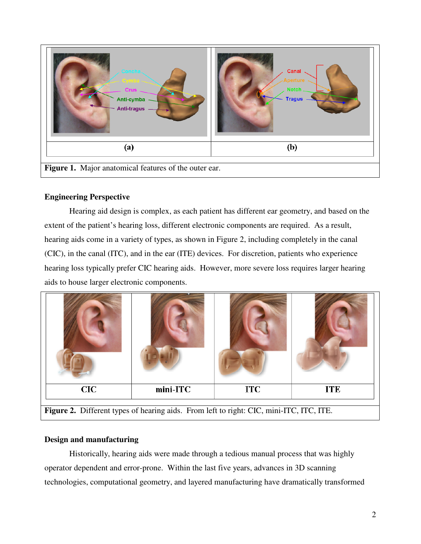

# **Engineering Perspective**

Hearing aid design is complex, as each patient has different ear geometry, and based on the extent of the patient's hearing loss, different electronic components are required. As a result, hearing aids come in a variety of types, as shown in Figure 2, including completely in the canal (CIC), in the canal (ITC), and in the ear (ITE) devices. For discretion, patients who experience hearing loss typically prefer CIC hearing aids. However, more severe loss requires larger hearing aids to house larger electronic components.



#### **Design and manufacturing**

Historically, hearing aids were made through a tedious manual process that was highly operator dependent and error-prone. Within the last five years, advances in 3D scanning technologies, computational geometry, and layered manufacturing have dramatically transformed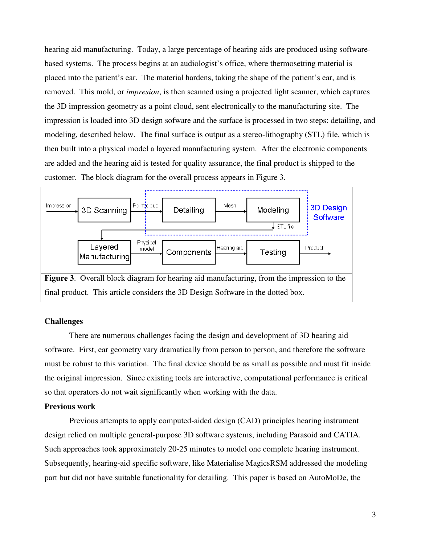hearing aid manufacturing. Today, a large percentage of hearing aids are produced using softwarebased systems. The process begins at an audiologist's office, where thermosetting material is placed into the patient's ear. The material hardens, taking the shape of the patient's ear, and is removed. This mold, or *impresion*, is then scanned using a projected light scanner, which captures the 3D impression geometry as a point cloud, sent electronically to the manufacturing site. The impression is loaded into 3D design sofware and the surface is processed in two steps: detailing, and modeling, described below. The final surface is output as a stereo-lithography (STL) file, which is then built into a physical model a layered manufacturing system. After the electronic components are added and the hearing aid is tested for quality assurance, the final product is shipped to the customer. The block diagram for the overall process appears in Figure 3.



### **Challenges**

There are numerous challenges facing the design and development of 3D hearing aid software. First, ear geometry vary dramatically from person to person, and therefore the software must be robust to this variation. The final device should be as small as possible and must fit inside the original impression. Since existing tools are interactive, computational performance is critical so that operators do not wait significantly when working with the data.

#### **Previous work**

Previous attempts to apply computed-aided design (CAD) principles hearing instrument design relied on multiple general-purpose 3D software systems, including Parasoid and CATIA. Such approaches took approximately 20-25 minutes to model one complete hearing instrument. Subsequently, hearing-aid specific software, like Materialise MagicsRSM addressed the modeling part but did not have suitable functionality for detailing. This paper is based on AutoMoDe, the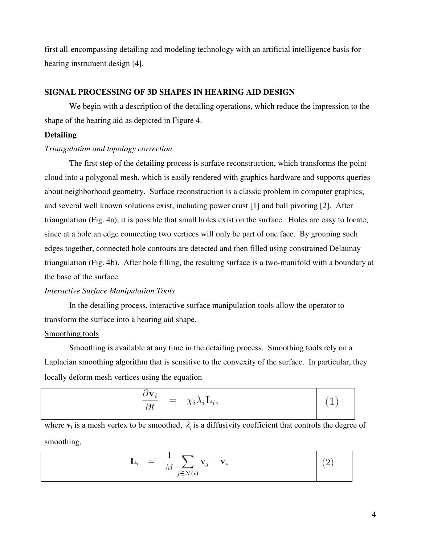first all-encompassing detailing and modeling technology with an artificial intelligence basis for hearing instrument design [4].

# **SIGNAL PROCESSING OF 3D SHAPES IN HEARING AID DESIGN**

We begin with a description of the detailing operations, which reduce the impression to the shape of the hearing aid as depicted in Figure 4.

#### **Detailing**

#### *Triangulation and topology correction*

The first step of the detailing process is surface reconstruction, which transforms the point cloud into a polygonal mesh, which is easily rendered with graphics hardware and supports queries about neighborhood geometry. Surface reconstruction is a classic problem in computer graphics, and several well known solutions exist, including power crust [1] and ball pivoting [2]. After triangulation (Fig. 4a), it is possible that small holes exist on the surface. Holes are easy to locate, since at a hole an edge connecting two vertices will only be part of one face. By grouping such edges together, connected hole contours are detected and then filled using constrained Delaunay triangulation (Fig. 4b). After hole filling, the resulting surface is a two-manifold with a boundary at the base of the surface.

#### *Interactive Surface Manipulation Tools*

In the detailing process, interactive surface manipulation tools allow the operator to transform the surface into a hearing aid shape.

#### Smoothing tools

Smoothing is available at any time in the detailing process. Smoothing tools rely on a Laplacian smoothing algorithm that is sensitive to the convexity of the surface. In particular, they locally deform mesh vertices using the equation

$$
\frac{\partial \mathbf{v}_i}{\partial t} = \chi_i \lambda_i \mathbf{L}_i, \tag{1}
$$

where  $\mathbf{v}_i$  is a mesh vertex to be smoothed,  $\lambda_i$  is a diffusivity coefficient that controls the degree of smoothing,

$$
\mathbf{L}_i = \frac{1}{M} \sum_{j \in N(i)} \mathbf{v}_j - \mathbf{v}_i \tag{2}
$$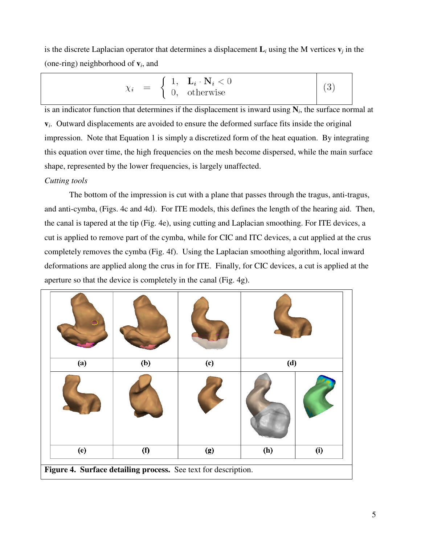is the discrete Laplacian operator that determines a displacement  $\mathbf{L}_i$  using the M vertices  $\mathbf{v}_j$  in the (one-ring) neighborhood of **v***<sup>i</sup>* , and

$$
\chi_i = \left\{ \begin{array}{ll} 1, & \mathbf{L}_i \cdot \mathbf{N}_i < 0 \\ 0, & \text{otherwise} \end{array} \right\} \tag{3}
$$

is an indicator function that determines if the displacement is inward using **N***<sup>i</sup>* , the surface normal at **v***i* . Outward displacements are avoided to ensure the deformed surface fits inside the original impression. Note that Equation 1 is simply a discretized form of the heat equation. By integrating this equation over time, the high frequencies on the mesh become dispersed, while the main surface shape, represented by the lower frequencies, is largely unaffected.

### *Cutting tools*

The bottom of the impression is cut with a plane that passes through the tragus, anti-tragus, and anti-cymba, (Figs. 4c and 4d). For ITE models, this defines the length of the hearing aid. Then, the canal is tapered at the tip (Fig. 4e), using cutting and Laplacian smoothing. For ITE devices, a cut is applied to remove part of the cymba, while for CIC and ITC devices, a cut applied at the crus completely removes the cymba (Fig. 4f). Using the Laplacian smoothing algorithm, local inward deformations are applied along the crus in for ITE. Finally, for CIC devices, a cut is applied at the aperture so that the device is completely in the canal (Fig. 4g).

| (a)                                                            | (b) | (c) | (d) |     |
|----------------------------------------------------------------|-----|-----|-----|-----|
|                                                                |     |     |     |     |
| (e)                                                            | (f) | (g) | (h) | (i) |
| Figure 4. Surface detailing process. See text for description. |     |     |     |     |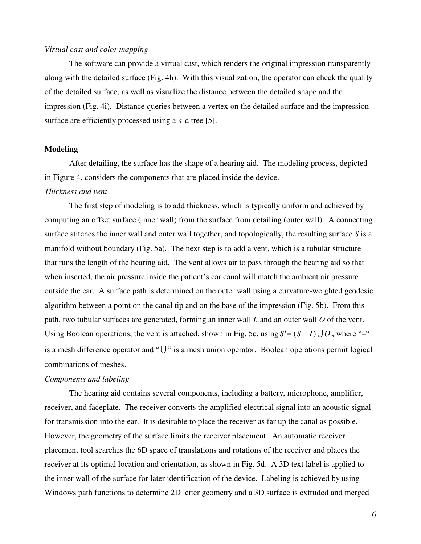#### *Virtual cast and color mapping*

The software can provide a virtual cast, which renders the original impression transparently along with the detailed surface (Fig. 4h). With this visualization, the operator can check the quality of the detailed surface, as well as visualize the distance between the detailed shape and the impression (Fig. 4i). Distance queries between a vertex on the detailed surface and the impression surface are efficiently processed using a k-d tree [5].

#### **Modeling**

After detailing, the surface has the shape of a hearing aid. The modeling process, depicted in Figure 4, considers the components that are placed inside the device.

#### *Thickness and vent*

The first step of modeling is to add thickness, which is typically uniform and achieved by computing an offset surface (inner wall) from the surface from detailing (outer wall). A connecting surface stitches the inner wall and outer wall together, and topologically, the resulting surface *S* is a manifold without boundary (Fig. 5a). The next step is to add a vent, which is a tubular structure that runs the length of the hearing aid. The vent allows air to pass through the hearing aid so that when inserted, the air pressure inside the patient's ear canal will match the ambient air pressure outside the ear. A surface path is determined on the outer wall using a curvature-weighted geodesic algorithm between a point on the canal tip and on the base of the impression (Fig. 5b). From this path, two tubular surfaces are generated, forming an inner wall *I*, and an outer wall *O* of the vent. Using Boolean operations, the vent is attached, shown in Fig. 5c, using  $S = (S - I) \cup O$ , where "-" is a mesh difference operator and " $\bigcup$ " is a mesh union operator. Boolean operations permit logical combinations of meshes.

#### *Components and labeling*

The hearing aid contains several components, including a battery, microphone, amplifier, receiver, and faceplate. The receiver converts the amplified electrical signal into an acoustic signal for transmission into the ear. It is desirable to place the receiver as far up the canal as possible. However, the geometry of the surface limits the receiver placement. An automatic receiver placement tool searches the 6D space of translations and rotations of the receiver and places the receiver at its optimal location and orientation, as shown in Fig. 5d. A 3D text label is applied to the inner wall of the surface for later identification of the device. Labeling is achieved by using Windows path functions to determine 2D letter geometry and a 3D surface is extruded and merged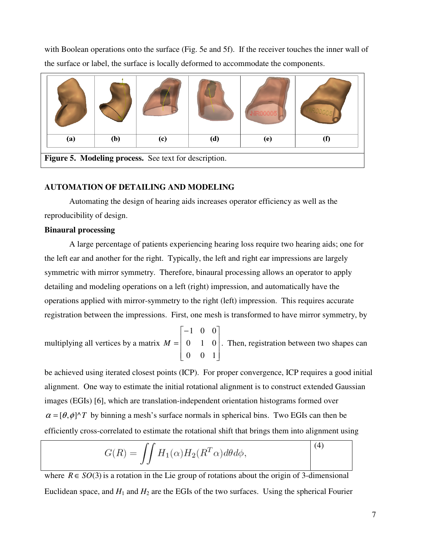with Boolean operations onto the surface (Fig. 5e and 5f). If the receiver touches the inner wall of the surface or label, the surface is locally deformed to accommodate the components.



### **AUTOMATION OF DETAILING AND MODELING**

Automating the design of hearing aids increases operator efficiency as well as the reproducibility of design.

#### **Binaural processing**

A large percentage of patients experiencing hearing loss require two hearing aids; one for the left ear and another for the right. Typically, the left and right ear impressions are largely symmetric with mirror symmetry. Therefore, binaural processing allows an operator to apply detailing and modeling operations on a left (right) impression, and automatically have the operations applied with mirror-symmetry to the right (left) impression. This requires accurate registration between the impressions. First, one mesh is transformed to have mirror symmetry, by

multiplying all vertices by a matrix  $\overline{\phantom{a}}$  $\overline{\phantom{a}}$  $\overline{\phantom{a}}$  $\overline{\phantom{a}}$ ⅂  $\mathbf{r}$  $\mathbf{r}$ L L − = 0 0 1 0 1 0 1 0 0  $M = \begin{pmatrix} 0 & 1 & 0 \end{pmatrix}$ . Then, registration between two shapes can

be achieved using iterated closest points (ICP). For proper convergence, ICP requires a good initial alignment. One way to estimate the initial rotational alignment is to construct extended Gaussian images (EGIs) [6], which are translation-independent orientation histograms formed over  $\alpha = [\theta, \phi]$ <sup> $\wedge$ </sup>T by binning a mesh's surface normals in spherical bins. Two EGIs can then be efficiently cross-correlated to estimate the rotational shift that brings them into alignment using

$$
G(R) = \iint H_1(\alpha) H_2(R^T \alpha) d\theta d\phi,
$$
 (4)

where  $R \in SO(3)$  is a rotation in the Lie group of rotations about the origin of 3-dimensional Euclidean space, and  $H_1$  and  $H_2$  are the EGIs of the two surfaces. Using the spherical Fourier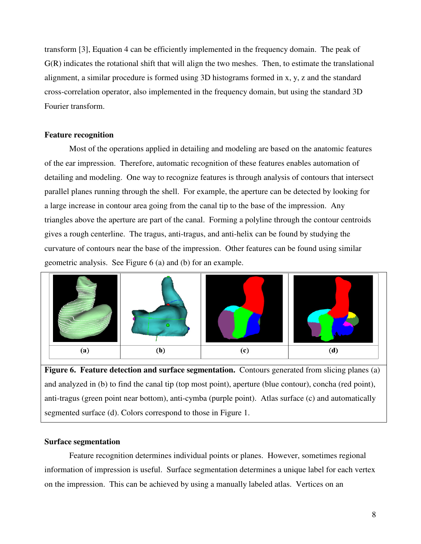transform [3], Equation 4 can be efficiently implemented in the frequency domain. The peak of G(R) indicates the rotational shift that will align the two meshes. Then, to estimate the translational alignment, a similar procedure is formed using 3D histograms formed in x, y, z and the standard cross-correlation operator, also implemented in the frequency domain, but using the standard 3D Fourier transform.

#### **Feature recognition**

Most of the operations applied in detailing and modeling are based on the anatomic features of the ear impression. Therefore, automatic recognition of these features enables automation of detailing and modeling. One way to recognize features is through analysis of contours that intersect parallel planes running through the shell. For example, the aperture can be detected by looking for a large increase in contour area going from the canal tip to the base of the impression. Any triangles above the aperture are part of the canal. Forming a polyline through the contour centroids gives a rough centerline. The tragus, anti-tragus, and anti-helix can be found by studying the curvature of contours near the base of the impression. Other features can be found using similar geometric analysis. See Figure 6 (a) and (b) for an example.



**Figure 6. Feature detection and surface segmentation.** Contours generated from slicing planes (a) and analyzed in (b) to find the canal tip (top most point), aperture (blue contour), concha (red point), anti-tragus (green point near bottom), anti-cymba (purple point). Atlas surface (c) and automatically segmented surface (d). Colors correspond to those in Figure 1.

#### **Surface segmentation**

Feature recognition determines individual points or planes. However, sometimes regional information of impression is useful. Surface segmentation determines a unique label for each vertex on the impression. This can be achieved by using a manually labeled atlas. Vertices on an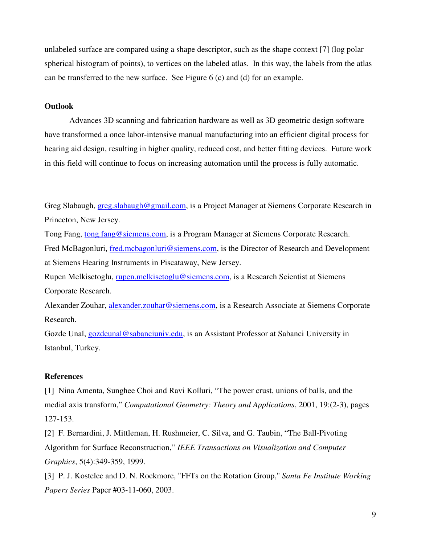unlabeled surface are compared using a shape descriptor, such as the shape context [7] (log polar spherical histogram of points), to vertices on the labeled atlas. In this way, the labels from the atlas can be transferred to the new surface. See Figure 6 (c) and (d) for an example.

# **Outlook**

Advances 3D scanning and fabrication hardware as well as 3D geometric design software have transformed a once labor-intensive manual manufacturing into an efficient digital process for hearing aid design, resulting in higher quality, reduced cost, and better fitting devices. Future work in this field will continue to focus on increasing automation until the process is fully automatic.

Greg Slabaugh, greg.slabaugh@gmail.com, is a Project Manager at Siemens Corporate Research in Princeton, New Jersey.

Tong Fang, tong fang@siemens.com, is a Program Manager at Siemens Corporate Research.

Fred McBagonluri, fred.mcbagonluri@siemens.com, is the Director of Research and Development at Siemens Hearing Instruments in Piscataway, New Jersey.

Rupen Melkisetoglu, rupen.melkisetoglu@siemens.com, is a Research Scientist at Siemens Corporate Research.

Alexander Zouhar, alexander.zouhar@siemens.com, is a Research Associate at Siemens Corporate Research.

Gozde Unal, gozdeunal@sabanciuniv.edu, is an Assistant Professor at Sabanci University in Istanbul, Turkey.

#### **References**

[1] Nina Amenta, Sunghee Choi and Ravi Kolluri, "The power crust, unions of balls, and the medial axis transform," *Computational Geometry: Theory and Applications*, 2001, 19:(2-3), pages 127-153.

[2] F. Bernardini, J. Mittleman, H. Rushmeier, C. Silva, and G. Taubin, "The Ball-Pivoting Algorithm for Surface Reconstruction," *IEEE Transactions on Visualization and Computer Graphics*, 5(4):349-359, 1999.

[3] P. J. Kostelec and D. N. Rockmore, "FFTs on the Rotation Group," *Santa Fe Institute Working Papers Series* Paper #03-11-060, 2003.